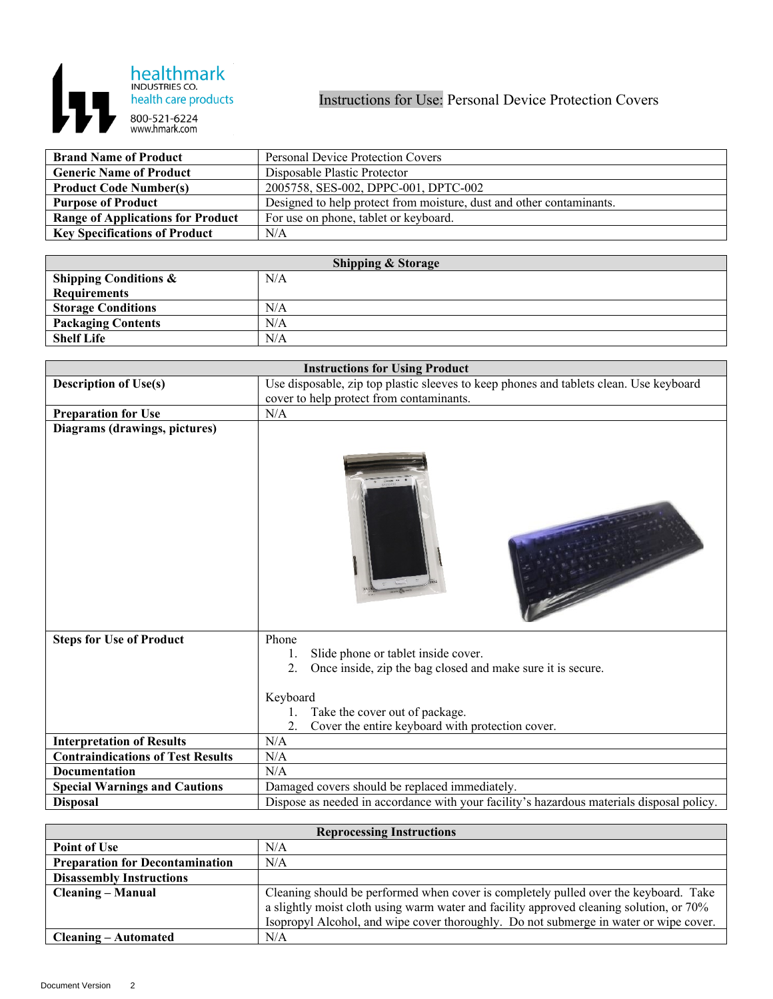

| <b>Brand Name of Product</b>             | <b>Personal Device Protection Covers</b>                             |
|------------------------------------------|----------------------------------------------------------------------|
| <b>Generic Name of Product</b>           | Disposable Plastic Protector                                         |
| <b>Product Code Number(s)</b>            | 2005758, SES-002, DPPC-001, DPTC-002                                 |
| <b>Purpose of Product</b>                | Designed to help protect from moisture, dust and other contaminants. |
| <b>Range of Applications for Product</b> | For use on phone, tablet or keyboard.                                |
| <b>Key Specifications of Product</b>     | N/A                                                                  |

| <b>Shipping &amp; Storage</b>    |     |  |
|----------------------------------|-----|--|
| <b>Shipping Conditions &amp;</b> | N/A |  |
| <b>Requirements</b>              |     |  |
| <b>Storage Conditions</b>        | N/A |  |
| <b>Packaging Contents</b>        | N/A |  |
| <b>Shelf Life</b>                | N/A |  |

|                                          | <b>Instructions for Using Product</b>                                                     |
|------------------------------------------|-------------------------------------------------------------------------------------------|
| <b>Description of Use(s)</b>             | Use disposable, zip top plastic sleeves to keep phones and tablets clean. Use keyboard    |
|                                          | cover to help protect from contaminants.                                                  |
| <b>Preparation for Use</b>               | N/A                                                                                       |
| Diagrams (drawings, pictures)            |                                                                                           |
|                                          |                                                                                           |
| <b>Steps for Use of Product</b>          | Phone                                                                                     |
|                                          | Slide phone or tablet inside cover.<br>1.                                                 |
|                                          | Once inside, zip the bag closed and make sure it is secure.<br>2.                         |
|                                          | Keyboard                                                                                  |
|                                          | Take the cover out of package.                                                            |
|                                          | Cover the entire keyboard with protection cover.                                          |
| <b>Interpretation of Results</b>         | N/A                                                                                       |
| <b>Contraindications of Test Results</b> | N/A                                                                                       |
| <b>Documentation</b>                     | N/A                                                                                       |
| <b>Special Warnings and Cautions</b>     | Damaged covers should be replaced immediately.                                            |
| <b>Disposal</b>                          | Dispose as needed in accordance with your facility's hazardous materials disposal policy. |

| <b>Reprocessing Instructions</b>       |                                                                                         |
|----------------------------------------|-----------------------------------------------------------------------------------------|
| <b>Point of Use</b>                    | N/A                                                                                     |
| <b>Preparation for Decontamination</b> | N/A                                                                                     |
| <b>Disassembly Instructions</b>        |                                                                                         |
| <b>Cleaning – Manual</b>               | Cleaning should be performed when cover is completely pulled over the keyboard. Take    |
|                                        | a slightly moist cloth using warm water and facility approved cleaning solution, or 70% |
|                                        | Isopropyl Alcohol, and wipe cover thoroughly. Do not submerge in water or wipe cover.   |
| Cleaning – Automated                   | N/A                                                                                     |